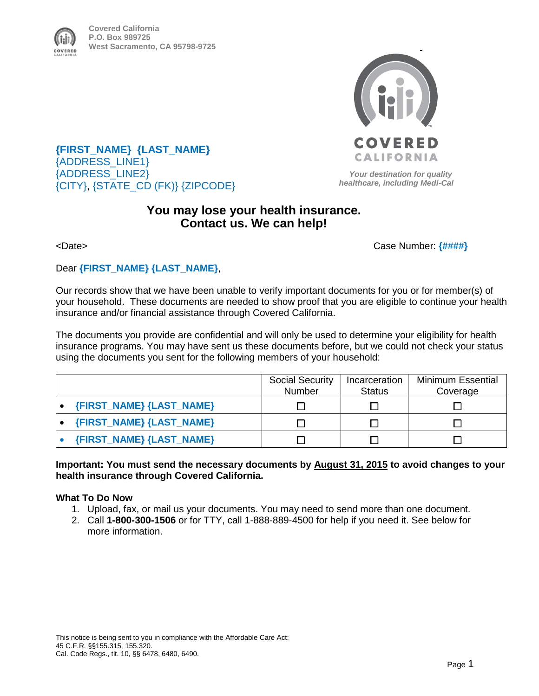

**Covered California P.O. Box 989725 West Sacramento, CA 95798-9725**



**{FIRST\_NAME} {LAST\_NAME}** {ADDRESS\_LINE1} {ADDRESS\_LINE2} {CITY}, {STATE\_CD (FK)} {ZIPCODE}

 *Your destination for quality healthcare, including Medi-Cal* 

## **You may lose your health insurance. Contact us. We can help!**

<Date>Case Number: **{####}** 

Dear **{FIRST\_NAME} {LAST\_NAME}**,

Our records show that we have been unable to verify important documents for you or for member(s) of your household. These documents are needed to show proof that you are eligible to continue your health insurance and/or financial assistance through Covered California.

The documents you provide are confidential and will only be used to determine your eligibility for health insurance programs. You may have sent us these documents before, but we could not check your status using the documents you sent for the following members of your household:

|                          | <b>Social Security</b><br>Number | Incarceration<br><b>Status</b> | <b>Minimum Essential</b><br>Coverage |
|--------------------------|----------------------------------|--------------------------------|--------------------------------------|
| {FIRST_NAME} {LAST_NAME} |                                  |                                |                                      |
| {FIRST_NAME} {LAST_NAME} |                                  |                                |                                      |
| {FIRST_NAME} {LAST_NAME} |                                  |                                |                                      |

**Important: You must send the necessary documents by August 31, 2015 to avoid changes to your health insurance through Covered California.** 

#### **What To Do Now**

- 1. Upload, fax, or mail us your documents. You may need to send more than one document.
- 2. Call **1-800-300-1506** or for TTY, call 1-888-889-4500 for help if you need it. See below for more information.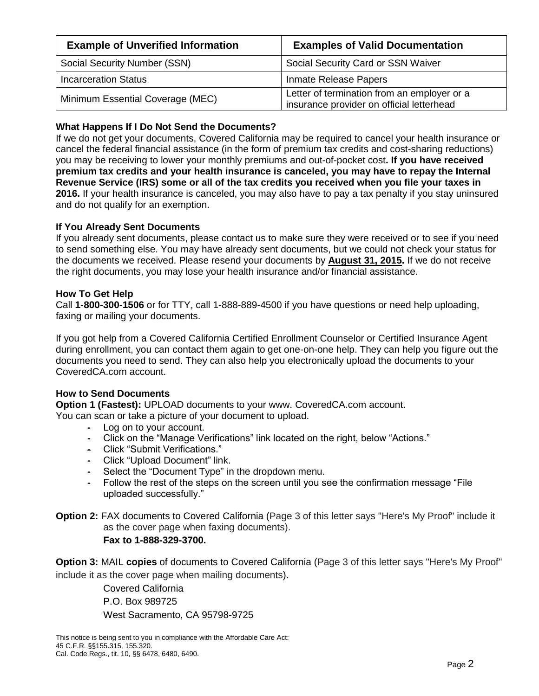| <b>Example of Unverified Information</b> | <b>Examples of Valid Documentation</b>                                                   |  |
|------------------------------------------|------------------------------------------------------------------------------------------|--|
| Social Security Number (SSN)             | Social Security Card or SSN Waiver                                                       |  |
| <b>Incarceration Status</b>              | Inmate Release Papers                                                                    |  |
| Minimum Essential Coverage (MEC)         | Letter of termination from an employer or a<br>insurance provider on official letterhead |  |

### **What Happens If I Do Not Send the Documents?**

If we do not get your documents, Covered California may be required to cancel your health insurance or cancel the federal financial assistance (in the form of premium tax credits and cost-sharing reductions) you may be receiving to lower your monthly premiums and out-of-pocket cost**. If you have received premium tax credits and your health insurance is canceled, you may have to repay the Internal Revenue Service (IRS) some or all of the tax credits you received when you file your taxes in 2016.** If your health insurance is canceled, you may also have to pay a tax penalty if you stay uninsured and do not qualify for an exemption.

#### **If You Already Sent Documents**

If you already sent documents, please contact us to make sure they were received or to see if you need to send something else. You may have already sent documents, but we could not check your status for the documents we received. Please resend your documents by **August 31, 2015.** If we do not receive the right documents, you may lose your health insurance and/or financial assistance.

#### **How To Get Help**

Call **1-800-300-1506** or for TTY, call 1-888-889-4500 if you have questions or need help uploading, faxing or mailing your documents.

If you got help from a Covered California Certified Enrollment Counselor or Certified Insurance Agent during enrollment, you can contact them again to get one-on-one help. They can help you figure out the documents you need to send. They can also help you electronically upload the documents to your CoveredCA.com account.

#### **How to Send Documents**

**Option 1 (Fastest):** UPLOAD documents to your www. CoveredCA.com account.

You can scan or take a picture of your document to upload.

- **-** Log on to your account.
- **-** Click on the "Manage Verifications" link located on the right, below "Actions."
- **-** Click "Submit Verifications."
- **-** Click "Upload Document" link.
- **-** Select the "Document Type" in the dropdown menu.
- **-** Follow the rest of the steps on the screen until you see the confirmation message "File uploaded successfully."

**Option 2:** FAX documents to Covered California (Page 3 of this letter says "Here's My Proof" include it as the cover page when faxing documents).

**Fax to 1-888-329-3700.**

**Option 3:** MAIL **copies** of documents to Covered California (Page 3 of this letter says "Here's My Proof" include it as the cover page when mailing documents).

Covered California P.O. Box 989725 West Sacramento, CA 95798-9725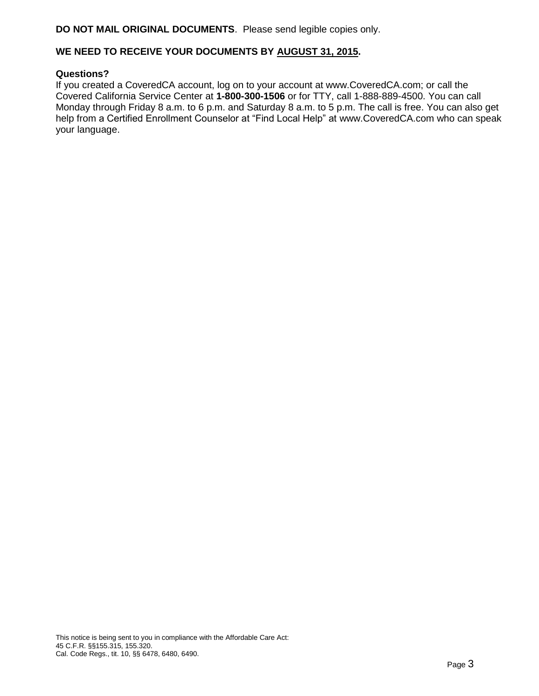#### **DO NOT MAIL ORIGINAL DOCUMENTS**. Please send legible copies only.

#### **WE NEED TO RECEIVE YOUR DOCUMENTS BY AUGUST 31, 2015.**

#### **Questions?**

If you created a CoveredCA account, log on to your account at www.CoveredCA.com; or call the Covered California Service Center at **1-800-300-1506** or for TTY, call 1-888-889-4500. You can call Monday through Friday 8 a.m. to 6 p.m. and Saturday 8 a.m. to 5 p.m. The call is free. You can also get help from a Certified Enrollment Counselor at "Find Local Help" at www.CoveredCA.com who can speak your language.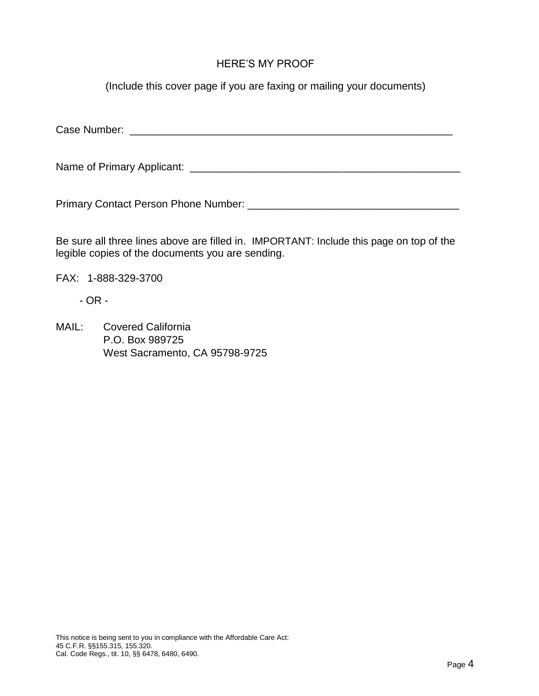## HERE'S MY PROOF

(Include this cover page if you are faxing or mailing your documents)

Case Number: \_\_\_\_\_\_\_\_\_\_\_\_\_\_\_\_\_\_\_\_\_\_\_\_\_\_\_\_\_\_\_\_\_\_\_\_\_\_\_\_\_\_\_\_\_\_\_\_\_\_\_\_\_\_\_

Name of Primary Applicant: \_\_\_\_\_\_\_\_\_\_\_\_\_\_\_\_\_\_\_\_\_\_\_\_\_\_\_\_\_\_\_\_\_\_\_\_\_\_\_\_\_\_\_\_\_\_

Primary Contact Person Phone Number: \_\_\_\_\_\_\_\_\_\_\_\_\_\_\_\_\_\_\_\_\_\_\_\_\_\_\_\_\_\_\_\_\_\_\_\_

Be sure all three lines above are filled in. IMPORTANT: Include this page on top of the legible copies of the documents you are sending.

FAX: 1-888-329-3700

- OR -

MAIL: Covered California P.O. Box 989725 West Sacramento, CA 95798-9725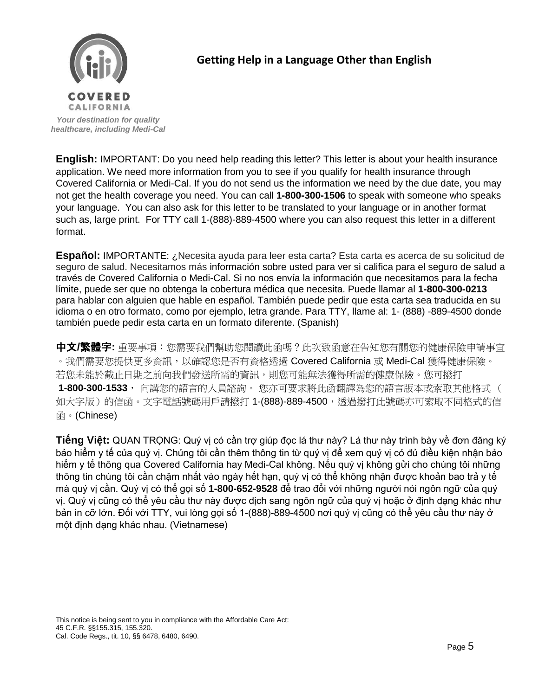

# **Getting Help in a Language Other than English**

*[Your destination for qua](http://www.google.com/url?sa=i&rct=j&q=&esrc=s&frm=1&source=images&cd=&cad=rja&docid=AGHZwmCrIR2ZFM&tbnid=WE5sAQm4R-p7HM:&ved=0CAUQjRw&url=http://www.cahba.com/blog/2012/11/covered_california.html&ei=ZEiNUevqAYWtigKV64GgAQ&bvm=bv.46340616,d.cGE&psig=AFQjCNFJhvQE1Cxc9DxVTpfqz3EdmoIQHQ&ust=13682999968057)lity healthcare, including Medi-Cal* 

**English:** IMPORTANT: Do you need help reading this letter? This letter is about your health insurance application. We need more information from you to see if you qualify for health insurance through Covered California or Medi-Cal. If you do not send us the information we need by the due date, you may not get the health coverage you need. You can call **1-800-300-1506** to speak with someone who speaks your language. You can also ask for this letter to be translated to your language or in another format such as, large print. For TTY call 1-(888)-889-4500 where you can also request this letter in a different format.

**Español:** IMPORTANTE: ¿Necesita ayuda para leer esta carta? Esta carta es acerca de su solicitud de seguro de salud. Necesitamos más información sobre usted para ver si califica para el seguro de salud a través de Covered California o Medi-Cal. Si no nos envía la información que necesitamos para la fecha límite, puede ser que no obtenga la cobertura médica que necesita. Puede llamar al **1-800-300-0213** para hablar con alguien que hable en español. También puede pedir que esta carta sea traducida en su idioma o en otro formato, como por ejemplo, letra grande. Para TTY, llame al: 1- (888) -889-4500 donde también puede pedir esta carta en un formato diferente. (Spanish)

中文**/**繁體字**:** 重要事項:您需要我們幫助您閱讀此函嗎?此次致函意在告知您有關您的健康保險申請事宜 。我們需要您提供更多資訊,以確認您是否有資格透過 Covered California 或 Medi-Cal 獲得健康保險。 若您未能於截止日期之前向我們發送所需的資訊,則您可能無法獲得所需的健康保險。您可撥打 **1-800-300-1533**, 向講您的語言的人員諮詢。 您亦可要求將此函翻譯為您的語言版本或索取其他格式 ( 如大字版)的信函。文字電話號碼用戶請撥打 1-(888)-889-4500,透過撥打此號碼亦可索取不同格式的信 **函**。(Chinese)

**Tiếng Việt:** QUAN TRỌNG: Quý vị có cần trợ giúp đọc lá thư này? Lá thư này trình bày về đơn đăng ký bảo hiểm y tế của quý vị. Chúng tôi cần thêm thông tin từ quý vị để xem quý vị có đủ điều kiện nhận bảo hiểm y tế thông qua Covered California hay Medi-Cal không. Nếu quý vị không gửi cho chúng tôi những thông tin chúng tôi cần chậm nhất vào ngày hết hạn, quý vị có thể không nhận được khoản bao trả y tế mà quý vị cần. Quý vị có thể gọi số **1-800-652-9528** để trao đổi với những người nói ngôn ngữ của quý vị. Quý vị cũng có thể yêu cầu thư này được dịch sang ngôn ngữ của quý vị hoặc ở định dạng khác như bản in cỡ lớn. Đối với TTY, vui lòng gọi số 1-(888)-889-4500 nơi quý vị cũng có thể yêu cầu thư này ở một định dạng khác nhau. (Vietnamese)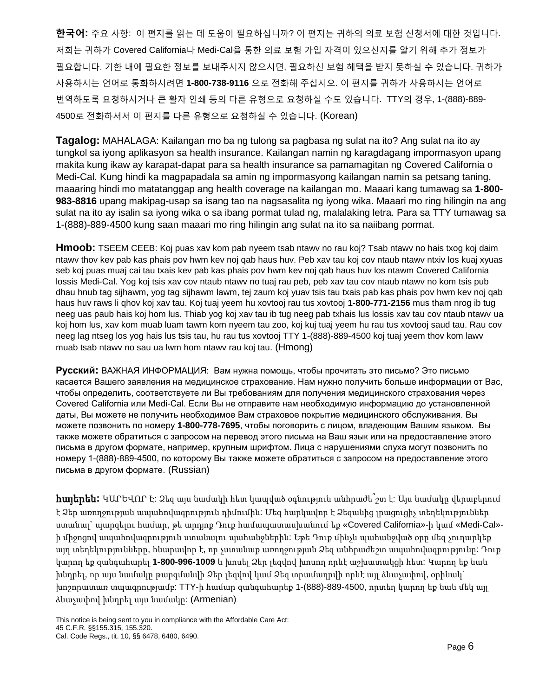**한국어:** 주요 사항: 이 편지를 읽는 데 도움이 필요하십니까? 이 편지는 귀하의 의료 보험 신청서에 대한 것입니다. 저희는 귀하가 Covered California나 Medi-Cal을 통한 의료 보험 가입 자격이 있으신지를 알기 위해 추가 정보가 필요합니다. 기한 내에 필요한 정보를 보내주시지 않으시면, 필요하신 보험 혜택을 받지 못하실 수 있습니다. 귀하가 사용하시는 언어로 통화하시려면 **1-800-738-9116** 으로 전화해 주십시오. 이 편지를 귀하가 사용하시는 언어로 번역하도록 요청하시거나 큰 활자 인쇄 등의 다른 유형으로 요청하실 수도 있습니다. TTY의 경우, 1-(888)-889- 4500로 전화하셔서 이 편지를 다른 유형으로 요청하실 수 있습니다. (Korean)

**Tagalog:** MAHALAGA: Kailangan mo ba ng tulong sa pagbasa ng sulat na ito? Ang sulat na ito ay tungkol sa iyong aplikasyon sa health insurance. Kailangan namin ng karagdagang impormasyon upang makita kung ikaw ay karapat-dapat para sa health insurance sa pamamagitan ng Covered California o Medi-Cal. Kung hindi ka magpapadala sa amin ng impormasyong kailangan namin sa petsang taning, maaaring hindi mo matatanggap ang health coverage na kailangan mo. Maaari kang tumawag sa **1-800- 983-8816** upang makipag-usap sa isang tao na nagsasalita ng iyong wika. Maaari mo ring hilingin na ang sulat na ito ay isalin sa iyong wika o sa ibang pormat tulad ng, malalaking letra. Para sa TTY tumawag sa 1-(888)-889-4500 kung saan maaari mo ring hilingin ang sulat na ito sa naiibang pormat.

**Hmoob:** TSEEM CEEB: Koj puas xav kom pab nyeem tsab ntawv no rau koj? Tsab ntawv no hais txog koj daim ntawv thov kev pab kas phais pov hwm kev noj qab haus huv. Peb xav tau koj cov ntaub ntawv ntxiv los kuaj xyuas seb koj puas muaj cai tau txais kev pab kas phais pov hwm kev noj qab haus huv los ntawm Covered California lossis Medi-Cal. Yog koj tsis xav cov ntaub ntawv no tuaj rau peb, peb xav tau cov ntaub ntawv no kom tsis pub dhau hnub tag sijhawm, yog tag sijhawm lawm, tej zaum koj yuav tsis tau txais pab kas phais pov hwm kev noj qab haus huv raws li qhov koj xav tau. Koj tuaj yeem hu xovtooj rau tus xovtooj **1-800-771-2156** mus tham nrog ib tug neeg uas paub hais koj hom lus. Thiab yog koj xav tau ib tug neeg pab txhais lus lossis xav tau cov ntaub ntawv ua koj hom lus, xav kom muab luam tawm kom nyeem tau zoo, koj kuj tuaj yeem hu rau tus xovtooj saud tau. Rau cov neeg lag ntseg los yog hais lus tsis tau, hu rau tus xovtooj TTY 1-(888)-889-4500 koj tuaj yeem thov kom lawv muab tsab ntawv no sau ua lwm hom ntawv rau koj tau. (Hmong)

**Русский:** ВАЖНАЯ ИНФОРМАЦИЯ: Вам нужна помощь, чтобы прочитать это письмо? Это письмо касается Вашего заявления на медицинское страхование. Нам нужно получить больше информации от Вас, чтобы определить, соответствуете ли Вы требованиям для получения медицинского страхования через Covered California или Medi-Cal. Если Вы не отправите нам необходимую информацию до установленной даты, Вы можете не получить необходимое Вам страховое покрытие медицинского обслуживания. Вы можете позвонить по номеру **1-800-778-7695**, чтобы поговорить с лицом, владеющим Вашим языком. Вы также можете обратиться с запросом на перевод этого письма на Ваш язык или на предоставление этого письма в другом формате, например, крупным шрифтом. Лица с нарушениями слуха могут позвонить по номеру 1-(888)-889-4500, по которому Вы также можете обратиться с запросом на предоставление этого письма в другом формате. (Russian)

հայերեն**:** ԿԱՐԵՎՈՐ Է: Ձեզ այս նամակի հետ կապված օգնություն անհրաժե՞շտ է: Այս նամակը վերաբերում է Ձեր առողջության ապահովագրություն դիմումին: Մեզ հարկավոր է Ձեզանից լրացուցիչ տեղեկություններ ստանալ` պարզելու համար, թե արդյոք Դուք համապատասխանում եք «Covered California»-ի կամ «Medi-Cal» ի միջոցով ապահովագրություն ստանալու պահանջներին: Եթե Դուք մինչև պահանջված օրը մեզ չուղարկեք այդ տեղեկությունները, հնարավոր է, որ չստանաք առողջության Ձեզ անհրաժեշտ ապահովագրությունը: Դուք կարող եք զանգահարել **1-800-996-1009** և խոսել Ձեր լեզվով խոսող որևէ աշխատակցի հետ: Կարող եք նաև խնդրել, որ այս նամակը թարգմանվի Ձեր լեզվով կամ Ձեզ տրամադրվի որևէ այլ ձևաչափով, օրինակ` խոշորատառ տպագրությամբ: TTY-ի համար զանգահարեք 1-(888)-889-4500, որտեղ կարող եք նաև մեկ այլ ձևաչափով խնդրել այս նամակը: (Armenian)

This notice is being sent to you in compliance with the Affordable Care Act: 45 C.F.R. §§155.315, 155.320. Cal. Code Regs., tit. 10, §§ 6478, 6480, 6490.